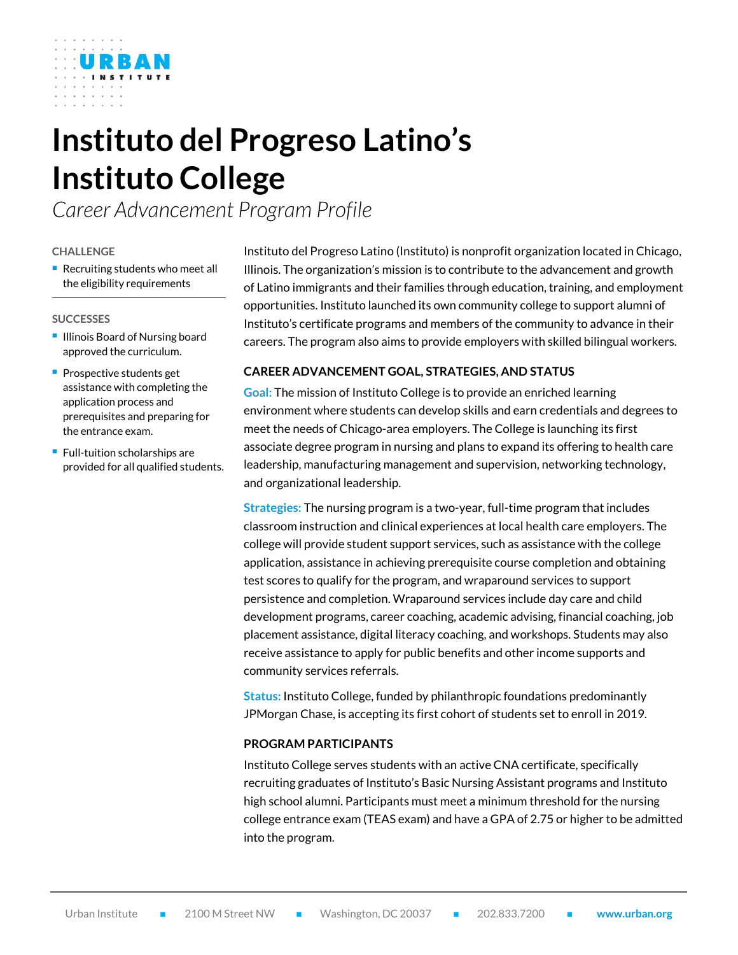# **Instituto del Progreso Latino's Instituto College**

*Career Advancement Program Profile*

#### **CHALLENGE**

■ Recruiting students who meet all the eligibility requirements

#### **SUCCESSES**

- **Illinois Board of Nursing board** approved the curriculum.
- **Prospective students get** assistance with completing the application process and prerequisites and preparing for the entrance exam.
- **Full-tuition scholarships are** provided for all qualified students.

Instituto del Progreso Latino (Instituto) is nonprofit organization located in Chicago, Illinois. The organization's mission is to contribute to the advancement and growth of Latino immigrants and their families through education, training, and employment opportunities. Instituto launched its own community college to support alumni of Instituto's certificate programs and members of the community to advance in their careers. The program also aims to provide employers with skilled bilingual workers.

# **CAREER ADVANCEMENT GOAL, STRATEGIES, AND STATUS**

**Goal:** The mission of Instituto College is to provide an enriched learning environment where students can develop skills and earn credentials and degrees to meet the needs of Chicago-area employers. The College is launching its first associate degree program in nursing and plans to expand its offering to health care leadership, manufacturing management and supervision, networking technology, and organizational leadership.

**Strategies:** The nursing program is a two-year, full-time program that includes classroom instruction and clinical experiences at local health care employers. The college will provide student support services, such as assistance with the college application, assistance in achieving prerequisite course completion and obtaining test scores to qualify for the program, and wraparound services to support persistence and completion. Wraparound services include day care and child development programs, career coaching, academic advising, financial coaching, job placement assistance, digital literacy coaching, and workshops. Students may also receive assistance to apply for public benefits and other income supports and community services referrals.

**Status:** Instituto College, funded by philanthropic foundations predominantly JPMorgan Chase, is accepting its first cohort of students set to enroll in 2019.

#### **PROGRAM PARTICIPANTS**

Instituto College serves students with an active CNA certificate, specifically recruiting graduates of Instituto's Basic Nursing Assistant programs and Instituto high school alumni. Participants must meet a minimum threshold for the nursing college entrance exam (TEAS exam) and have a GPA of 2.75 or higher to be admitted into the program.